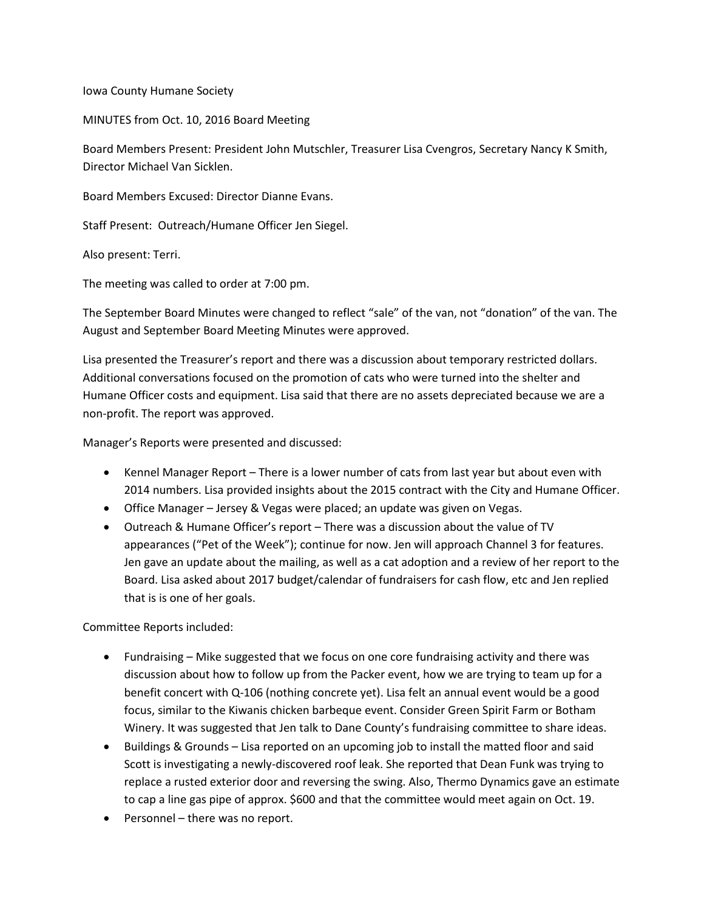Iowa County Humane Society

MINUTES from Oct. 10, 2016 Board Meeting

Board Members Present: President John Mutschler, Treasurer Lisa Cvengros, Secretary Nancy K Smith, Director Michael Van Sicklen.

Board Members Excused: Director Dianne Evans.

Staff Present: Outreach/Humane Officer Jen Siegel.

Also present: Terri.

The meeting was called to order at 7:00 pm.

The September Board Minutes were changed to reflect "sale" of the van, not "donation" of the van. The August and September Board Meeting Minutes were approved.

Lisa presented the Treasurer's report and there was a discussion about temporary restricted dollars. Additional conversations focused on the promotion of cats who were turned into the shelter and Humane Officer costs and equipment. Lisa said that there are no assets depreciated because we are a non-profit. The report was approved.

Manager's Reports were presented and discussed:

- Kennel Manager Report There is a lower number of cats from last year but about even with 2014 numbers. Lisa provided insights about the 2015 contract with the City and Humane Officer.
- Office Manager Jersey & Vegas were placed; an update was given on Vegas.
- Outreach & Humane Officer's report There was a discussion about the value of TV appearances ("Pet of the Week"); continue for now. Jen will approach Channel 3 for features. Jen gave an update about the mailing, as well as a cat adoption and a review of her report to the Board. Lisa asked about 2017 budget/calendar of fundraisers for cash flow, etc and Jen replied that is is one of her goals.

Committee Reports included:

- Fundraising Mike suggested that we focus on one core fundraising activity and there was discussion about how to follow up from the Packer event, how we are trying to team up for a benefit concert with Q-106 (nothing concrete yet). Lisa felt an annual event would be a good focus, similar to the Kiwanis chicken barbeque event. Consider Green Spirit Farm or Botham Winery. It was suggested that Jen talk to Dane County's fundraising committee to share ideas.
- Buildings & Grounds Lisa reported on an upcoming job to install the matted floor and said Scott is investigating a newly-discovered roof leak. She reported that Dean Funk was trying to replace a rusted exterior door and reversing the swing. Also, Thermo Dynamics gave an estimate to cap a line gas pipe of approx. \$600 and that the committee would meet again on Oct. 19.
- Personnel there was no report.